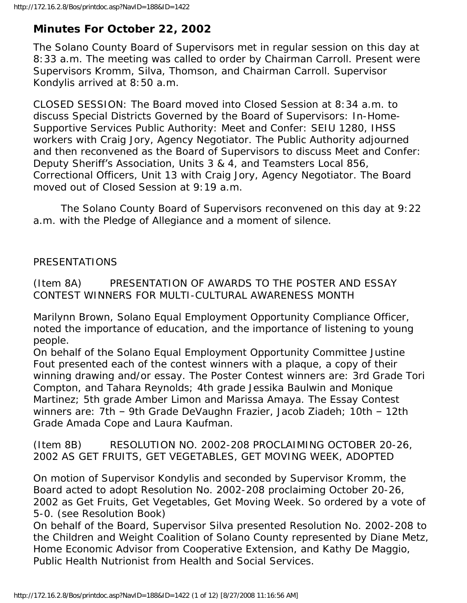# **Minutes For October 22, 2002**

The Solano County Board of Supervisors met in regular session on this day at 8:33 a.m. The meeting was called to order by Chairman Carroll. Present were Supervisors Kromm, Silva, Thomson, and Chairman Carroll. Supervisor Kondylis arrived at 8:50 a.m.

CLOSED SESSION: The Board moved into Closed Session at 8:34 a.m. to discuss Special Districts Governed by the Board of Supervisors: In-Home-Supportive Services Public Authority: Meet and Confer: SEIU 1280, IHSS workers with Craig Jory, Agency Negotiator. The Public Authority adjourned and then reconvened as the Board of Supervisors to discuss Meet and Confer: Deputy Sheriff's Association, Units 3 & 4, and Teamsters Local 856, Correctional Officers, Unit 13 with Craig Jory, Agency Negotiator. The Board moved out of Closed Session at 9:19 a.m.

 The Solano County Board of Supervisors reconvened on this day at 9:22 a.m. with the Pledge of Allegiance and a moment of silence.

# PRESENTATIONS

(Item 8A) PRESENTATION OF AWARDS TO THE POSTER AND ESSAY CONTEST WINNERS FOR MULTI-CULTURAL AWARENESS MONTH

Marilynn Brown, Solano Equal Employment Opportunity Compliance Officer, noted the importance of education, and the importance of listening to young people.

On behalf of the Solano Equal Employment Opportunity Committee Justine Fout presented each of the contest winners with a plaque, a copy of their winning drawing and/or essay. The Poster Contest winners are: 3rd Grade Tori Compton, and Tahara Reynolds; 4th grade Jessika Baulwin and Monique Martinez; 5th grade Amber Limon and Marissa Amaya. The Essay Contest winners are: 7th – 9th Grade DeVaughn Frazier, Jacob Ziadeh; 10th – 12th Grade Amada Cope and Laura Kaufman.

(Item 8B) RESOLUTION NO. 2002-208 PROCLAIMING OCTOBER 20-26, 2002 AS GET FRUITS, GET VEGETABLES, GET MOVING WEEK, ADOPTED

On motion of Supervisor Kondylis and seconded by Supervisor Kromm, the Board acted to adopt Resolution No. 2002-208 proclaiming October 20-26, 2002 as Get Fruits, Get Vegetables, Get Moving Week. So ordered by a vote of 5-0. (see Resolution Book)

On behalf of the Board, Supervisor Silva presented Resolution No. 2002-208 to the Children and Weight Coalition of Solano County represented by Diane Metz, Home Economic Advisor from Cooperative Extension, and Kathy De Maggio, Public Health Nutrionist from Health and Social Services.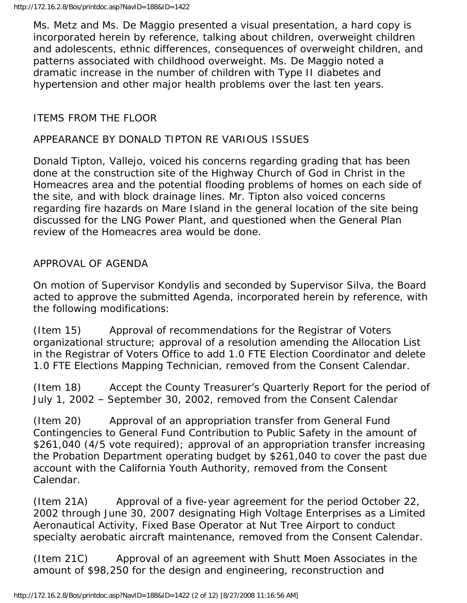Ms. Metz and Ms. De Maggio presented a visual presentation, a hard copy is incorporated herein by reference, talking about children, overweight children and adolescents, ethnic differences, consequences of overweight children, and patterns associated with childhood overweight. Ms. De Maggio noted a dramatic increase in the number of children with Type II diabetes and hypertension and other major health problems over the last ten years.

# ITEMS FROM THE FLOOR

## APPEARANCE BY DONALD TIPTON RE VARIOUS ISSUES

Donald Tipton, Vallejo, voiced his concerns regarding grading that has been done at the construction site of the Highway Church of God in Christ in the Homeacres area and the potential flooding problems of homes on each side of the site, and with block drainage lines. Mr. Tipton also voiced concerns regarding fire hazards on Mare Island in the general location of the site being discussed for the LNG Power Plant, and questioned when the General Plan review of the Homeacres area would be done.

### APPROVAL OF AGENDA

On motion of Supervisor Kondylis and seconded by Supervisor Silva, the Board acted to approve the submitted Agenda, incorporated herein by reference, with the following modifications:

(Item 15) Approval of recommendations for the Registrar of Voters organizational structure; approval of a resolution amending the Allocation List in the Registrar of Voters Office to add 1.0 FTE Election Coordinator and delete 1.0 FTE Elections Mapping Technician, removed from the Consent Calendar.

(Item 18) Accept the County Treasurer's Quarterly Report for the period of July 1, 2002 – September 30, 2002, removed from the Consent Calendar

(Item 20) Approval of an appropriation transfer from General Fund Contingencies to General Fund Contribution to Public Safety in the amount of \$261,040 (4/5 vote required); approval of an appropriation transfer increasing the Probation Department operating budget by \$261,040 to cover the past due account with the California Youth Authority, removed from the Consent Calendar.

(Item 21A) Approval of a five-year agreement for the period October 22, 2002 through June 30, 2007 designating High Voltage Enterprises as a Limited Aeronautical Activity, Fixed Base Operator at Nut Tree Airport to conduct specialty aerobatic aircraft maintenance, removed from the Consent Calendar.

(Item 21C) Approval of an agreement with Shutt Moen Associates in the amount of \$98,250 for the design and engineering, reconstruction and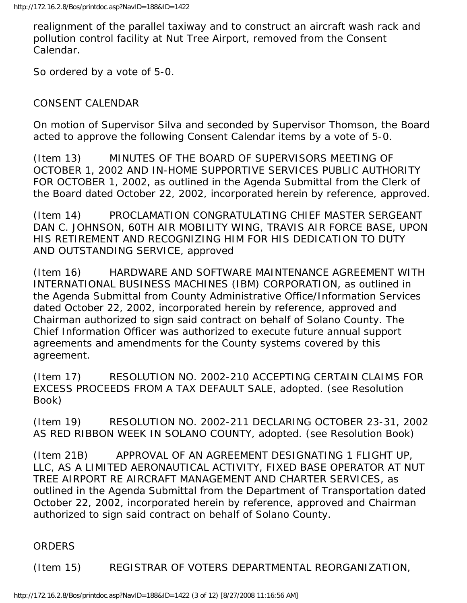realignment of the parallel taxiway and to construct an aircraft wash rack and pollution control facility at Nut Tree Airport, removed from the Consent Calendar.

So ordered by a vote of 5-0.

# CONSENT CALENDAR

On motion of Supervisor Silva and seconded by Supervisor Thomson, the Board acted to approve the following Consent Calendar items by a vote of 5-0.

(Item 13) MINUTES OF THE BOARD OF SUPERVISORS MEETING OF OCTOBER 1, 2002 AND IN-HOME SUPPORTIVE SERVICES PUBLIC AUTHORITY FOR OCTOBER 1, 2002, as outlined in the Agenda Submittal from the Clerk of the Board dated October 22, 2002, incorporated herein by reference, approved.

(Item 14) PROCLAMATION CONGRATULATING CHIEF MASTER SERGEANT DAN C. JOHNSON, 60TH AIR MOBILITY WING, TRAVIS AIR FORCE BASE, UPON HIS RETIREMENT AND RECOGNIZING HIM FOR HIS DEDICATION TO DUTY AND OUTSTANDING SERVICE, approved

(Item 16) HARDWARE AND SOFTWARE MAINTENANCE AGREEMENT WITH INTERNATIONAL BUSINESS MACHINES (IBM) CORPORATION, as outlined in the Agenda Submittal from County Administrative Office/Information Services dated October 22, 2002, incorporated herein by reference, approved and Chairman authorized to sign said contract on behalf of Solano County. The Chief Information Officer was authorized to execute future annual support agreements and amendments for the County systems covered by this agreement.

(Item 17) RESOLUTION NO. 2002-210 ACCEPTING CERTAIN CLAIMS FOR EXCESS PROCEEDS FROM A TAX DEFAULT SALE, adopted. (see Resolution Book)

(Item 19) RESOLUTION NO. 2002-211 DECLARING OCTOBER 23-31, 2002 AS RED RIBBON WEEK IN SOLANO COUNTY, adopted. (see Resolution Book)

(Item 21B) APPROVAL OF AN AGREEMENT DESIGNATING 1 FLIGHT UP, LLC, AS A LIMITED AERONAUTICAL ACTIVITY, FIXED BASE OPERATOR AT NUT TREE AIRPORT RE AIRCRAFT MANAGEMENT AND CHARTER SERVICES, as outlined in the Agenda Submittal from the Department of Transportation dated October 22, 2002, incorporated herein by reference, approved and Chairman authorized to sign said contract on behalf of Solano County.

ORDERS

(Item 15) REGISTRAR OF VOTERS DEPARTMENTAL REORGANIZATION,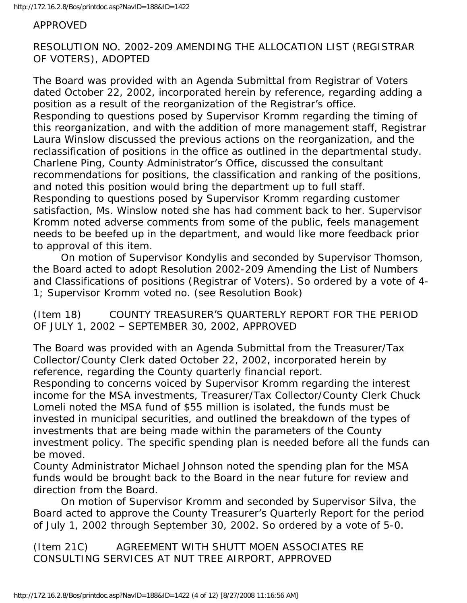#### APPROVED

RESOLUTION NO. 2002-209 AMENDING THE ALLOCATION LIST (REGISTRAR OF VOTERS), ADOPTED

The Board was provided with an Agenda Submittal from Registrar of Voters dated October 22, 2002, incorporated herein by reference, regarding adding a position as a result of the reorganization of the Registrar's office. Responding to questions posed by Supervisor Kromm regarding the timing of this reorganization, and with the addition of more management staff, Registrar Laura Winslow discussed the previous actions on the reorganization, and the reclassification of positions in the office as outlined in the departmental study. Charlene Ping, County Administrator's Office, discussed the consultant recommendations for positions, the classification and ranking of the positions, and noted this position would bring the department up to full staff. Responding to questions posed by Supervisor Kromm regarding customer satisfaction, Ms. Winslow noted she has had comment back to her. Supervisor Kromm noted adverse comments from some of the public, feels management needs to be beefed up in the department, and would like more feedback prior to approval of this item.

 On motion of Supervisor Kondylis and seconded by Supervisor Thomson, the Board acted to adopt Resolution 2002-209 Amending the List of Numbers and Classifications of positions (Registrar of Voters). So ordered by a vote of 4- 1; Supervisor Kromm voted no. (see Resolution Book)

(Item 18) COUNTY TREASURER'S QUARTERLY REPORT FOR THE PERIOD OF JULY 1, 2002 – SEPTEMBER 30, 2002, APPROVED

The Board was provided with an Agenda Submittal from the Treasurer/Tax Collector/County Clerk dated October 22, 2002, incorporated herein by reference, regarding the County quarterly financial report.

Responding to concerns voiced by Supervisor Kromm regarding the interest income for the MSA investments, Treasurer/Tax Collector/County Clerk Chuck Lomeli noted the MSA fund of \$55 million is isolated, the funds must be invested in municipal securities, and outlined the breakdown of the types of investments that are being made within the parameters of the County investment policy. The specific spending plan is needed before all the funds can be moved.

County Administrator Michael Johnson noted the spending plan for the MSA funds would be brought back to the Board in the near future for review and direction from the Board.

 On motion of Supervisor Kromm and seconded by Supervisor Silva, the Board acted to approve the County Treasurer's Quarterly Report for the period of July 1, 2002 through September 30, 2002. So ordered by a vote of 5-0.

(Item 21C) AGREEMENT WITH SHUTT MOEN ASSOCIATES RE CONSULTING SERVICES AT NUT TREE AIRPORT, APPROVED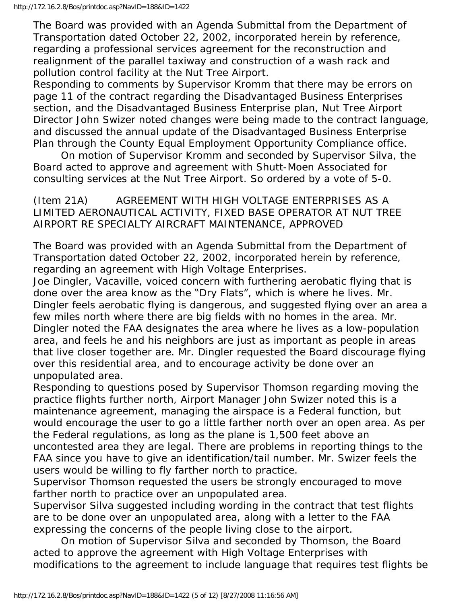The Board was provided with an Agenda Submittal from the Department of Transportation dated October 22, 2002, incorporated herein by reference, regarding a professional services agreement for the reconstruction and realignment of the parallel taxiway and construction of a wash rack and pollution control facility at the Nut Tree Airport.

Responding to comments by Supervisor Kromm that there may be errors on page 11 of the contract regarding the Disadvantaged Business Enterprises section, and the Disadvantaged Business Enterprise plan, Nut Tree Airport Director John Swizer noted changes were being made to the contract language, and discussed the annual update of the Disadvantaged Business Enterprise Plan through the County Equal Employment Opportunity Compliance office.

 On motion of Supervisor Kromm and seconded by Supervisor Silva, the Board acted to approve and agreement with Shutt-Moen Associated for consulting services at the Nut Tree Airport. So ordered by a vote of 5-0.

(Item 21A) AGREEMENT WITH HIGH VOLTAGE ENTERPRISES AS A LIMITED AERONAUTICAL ACTIVITY, FIXED BASE OPERATOR AT NUT TREE AIRPORT RE SPECIALTY AIRCRAFT MAINTENANCE, APPROVED

The Board was provided with an Agenda Submittal from the Department of Transportation dated October 22, 2002, incorporated herein by reference, regarding an agreement with High Voltage Enterprises.

Joe Dingler, Vacaville, voiced concern with furthering aerobatic flying that is done over the area know as the "Dry Flats", which is where he lives. Mr. Dingler feels aerobatic flying is dangerous, and suggested flying over an area a few miles north where there are big fields with no homes in the area. Mr. Dingler noted the FAA designates the area where he lives as a low-population area, and feels he and his neighbors are just as important as people in areas that live closer together are. Mr. Dingler requested the Board discourage flying over this residential area, and to encourage activity be done over an unpopulated area.

Responding to questions posed by Supervisor Thomson regarding moving the practice flights further north, Airport Manager John Swizer noted this is a maintenance agreement, managing the airspace is a Federal function, but would encourage the user to go a little farther north over an open area. As per the Federal regulations, as long as the plane is 1,500 feet above an uncontested area they are legal. There are problems in reporting things to the FAA since you have to give an identification/tail number. Mr. Swizer feels the users would be willing to fly farther north to practice.

Supervisor Thomson requested the users be strongly encouraged to move farther north to practice over an unpopulated area.

Supervisor Silva suggested including wording in the contract that test flights are to be done over an unpopulated area, along with a letter to the FAA expressing the concerns of the people living close to the airport.

 On motion of Supervisor Silva and seconded by Thomson, the Board acted to approve the agreement with High Voltage Enterprises with modifications to the agreement to include language that requires test flights be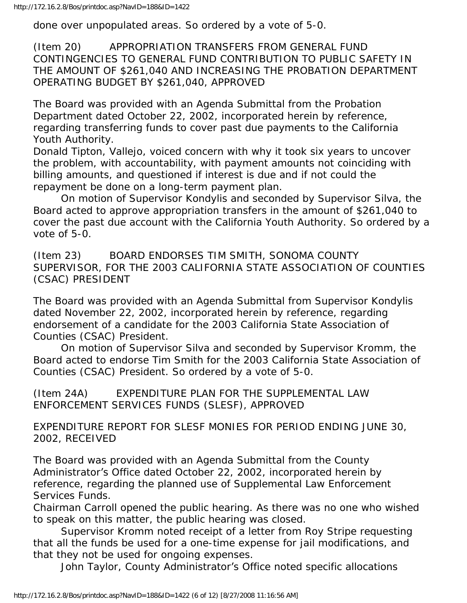done over unpopulated areas. So ordered by a vote of 5-0.

(Item 20) APPROPRIATION TRANSFERS FROM GENERAL FUND CONTINGENCIES TO GENERAL FUND CONTRIBUTION TO PUBLIC SAFETY IN THE AMOUNT OF \$261,040 AND INCREASING THE PROBATION DEPARTMENT OPERATING BUDGET BY \$261,040, APPROVED

The Board was provided with an Agenda Submittal from the Probation Department dated October 22, 2002, incorporated herein by reference, regarding transferring funds to cover past due payments to the California Youth Authority.

Donald Tipton, Vallejo, voiced concern with why it took six years to uncover the problem, with accountability, with payment amounts not coinciding with billing amounts, and questioned if interest is due and if not could the repayment be done on a long-term payment plan.

 On motion of Supervisor Kondylis and seconded by Supervisor Silva, the Board acted to approve appropriation transfers in the amount of \$261,040 to cover the past due account with the California Youth Authority. So ordered by a vote of 5-0.

(Item 23) BOARD ENDORSES TIM SMITH, SONOMA COUNTY SUPERVISOR, FOR THE 2003 CALIFORNIA STATE ASSOCIATION OF COUNTIES (CSAC) PRESIDENT

The Board was provided with an Agenda Submittal from Supervisor Kondylis dated November 22, 2002, incorporated herein by reference, regarding endorsement of a candidate for the 2003 California State Association of Counties (CSAC) President.

 On motion of Supervisor Silva and seconded by Supervisor Kromm, the Board acted to endorse Tim Smith for the 2003 California State Association of Counties (CSAC) President. So ordered by a vote of 5-0.

(Item 24A) EXPENDITURE PLAN FOR THE SUPPLEMENTAL LAW ENFORCEMENT SERVICES FUNDS (SLESF), APPROVED

EXPENDITURE REPORT FOR SLESF MONIES FOR PERIOD ENDING JUNE 30, 2002, RECEIVED

The Board was provided with an Agenda Submittal from the County Administrator's Office dated October 22, 2002, incorporated herein by reference, regarding the planned use of Supplemental Law Enforcement Services Funds.

Chairman Carroll opened the public hearing. As there was no one who wished to speak on this matter, the public hearing was closed.

 Supervisor Kromm noted receipt of a letter from Roy Stripe requesting that all the funds be used for a one-time expense for jail modifications, and that they not be used for ongoing expenses.

John Taylor, County Administrator's Office noted specific allocations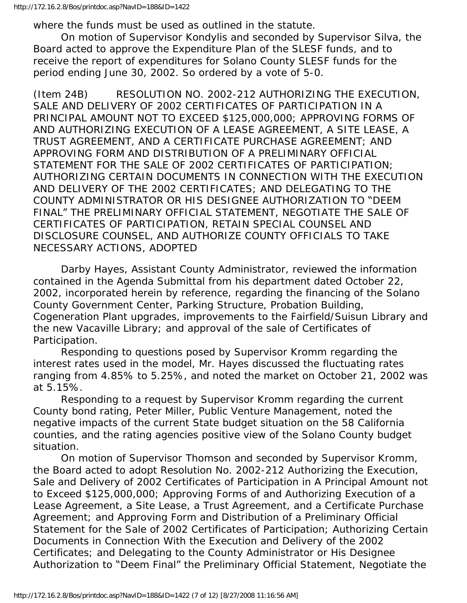where the funds must be used as outlined in the statute.

 On motion of Supervisor Kondylis and seconded by Supervisor Silva, the Board acted to approve the Expenditure Plan of the SLESF funds, and to receive the report of expenditures for Solano County SLESF funds for the period ending June 30, 2002. So ordered by a vote of 5-0.

(Item 24B) RESOLUTION NO. 2002-212 AUTHORIZING THE EXECUTION, SALE AND DELIVERY OF 2002 CERTIFICATES OF PARTICIPATION IN A PRINCIPAL AMOUNT NOT TO EXCEED \$125,000,000; APPROVING FORMS OF AND AUTHORIZING EXECUTION OF A LEASE AGREEMENT, A SITE LEASE, A TRUST AGREEMENT, AND A CERTIFICATE PURCHASE AGREEMENT; AND APPROVING FORM AND DISTRIBUTION OF A PRELIMINARY OFFICIAL STATEMENT FOR THE SALE OF 2002 CERTIFICATES OF PARTICIPATION; AUTHORIZING CERTAIN DOCUMENTS IN CONNECTION WITH THE EXECUTION AND DELIVERY OF THE 2002 CERTIFICATES; AND DELEGATING TO THE COUNTY ADMINISTRATOR OR HIS DESIGNEE AUTHORIZATION TO "DEEM FINAL" THE PRELIMINARY OFFICIAL STATEMENT, NEGOTIATE THE SALE OF CERTIFICATES OF PARTICIPATION, RETAIN SPECIAL COUNSEL AND DISCLOSURE COUNSEL, AND AUTHORIZE COUNTY OFFICIALS TO TAKE NECESSARY ACTIONS, ADOPTED

 Darby Hayes, Assistant County Administrator, reviewed the information contained in the Agenda Submittal from his department dated October 22, 2002, incorporated herein by reference, regarding the financing of the Solano County Government Center, Parking Structure, Probation Building, Cogeneration Plant upgrades, improvements to the Fairfield/Suisun Library and the new Vacaville Library; and approval of the sale of Certificates of Participation.

 Responding to questions posed by Supervisor Kromm regarding the interest rates used in the model, Mr. Hayes discussed the fluctuating rates ranging from 4.85% to 5.25%, and noted the market on October 21, 2002 was at 5.15%.

 Responding to a request by Supervisor Kromm regarding the current County bond rating, Peter Miller, Public Venture Management, noted the negative impacts of the current State budget situation on the 58 California counties, and the rating agencies positive view of the Solano County budget situation.

 On motion of Supervisor Thomson and seconded by Supervisor Kromm, the Board acted to adopt Resolution No. 2002-212 Authorizing the Execution, Sale and Delivery of 2002 Certificates of Participation in A Principal Amount not to Exceed \$125,000,000; Approving Forms of and Authorizing Execution of a Lease Agreement, a Site Lease, a Trust Agreement, and a Certificate Purchase Agreement; and Approving Form and Distribution of a Preliminary Official Statement for the Sale of 2002 Certificates of Participation; Authorizing Certain Documents in Connection With the Execution and Delivery of the 2002 Certificates; and Delegating to the County Administrator or His Designee Authorization to "Deem Final" the Preliminary Official Statement, Negotiate the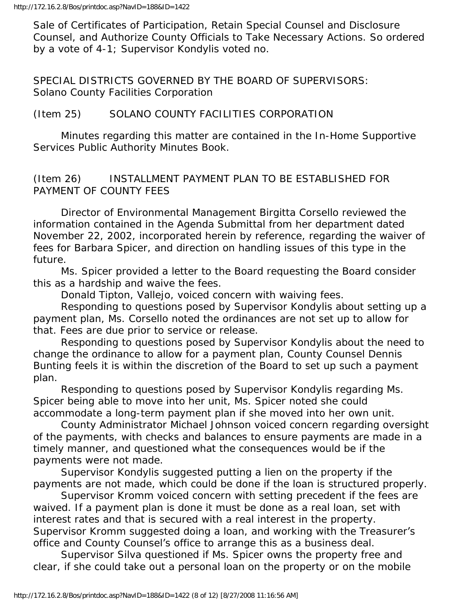Sale of Certificates of Participation, Retain Special Counsel and Disclosure Counsel, and Authorize County Officials to Take Necessary Actions. So ordered by a vote of 4-1; Supervisor Kondylis voted no.

SPECIAL DISTRICTS GOVERNED BY THE BOARD OF SUPERVISORS: Solano County Facilities Corporation

## (Item 25) SOLANO COUNTY FACILITIES CORPORATION

 Minutes regarding this matter are contained in the In-Home Supportive Services Public Authority Minutes Book.

## (Item 26) INSTALLMENT PAYMENT PLAN TO BE ESTABLISHED FOR PAYMENT OF COUNTY FEES

 Director of Environmental Management Birgitta Corsello reviewed the information contained in the Agenda Submittal from her department dated November 22, 2002, incorporated herein by reference, regarding the waiver of fees for Barbara Spicer, and direction on handling issues of this type in the future.

 Ms. Spicer provided a letter to the Board requesting the Board consider this as a hardship and waive the fees.

Donald Tipton, Vallejo, voiced concern with waiving fees.

 Responding to questions posed by Supervisor Kondylis about setting up a payment plan, Ms. Corsello noted the ordinances are not set up to allow for that. Fees are due prior to service or release.

 Responding to questions posed by Supervisor Kondylis about the need to change the ordinance to allow for a payment plan, County Counsel Dennis Bunting feels it is within the discretion of the Board to set up such a payment plan.

 Responding to questions posed by Supervisor Kondylis regarding Ms. Spicer being able to move into her unit, Ms. Spicer noted she could accommodate a long-term payment plan if she moved into her own unit.

 County Administrator Michael Johnson voiced concern regarding oversight of the payments, with checks and balances to ensure payments are made in a timely manner, and questioned what the consequences would be if the payments were not made.

 Supervisor Kondylis suggested putting a lien on the property if the payments are not made, which could be done if the loan is structured properly.

 Supervisor Kromm voiced concern with setting precedent if the fees are waived. If a payment plan is done it must be done as a real loan, set with interest rates and that is secured with a real interest in the property. Supervisor Kromm suggested doing a loan, and working with the Treasurer's office and County Counsel's office to arrange this as a business deal.

 Supervisor Silva questioned if Ms. Spicer owns the property free and clear, if she could take out a personal loan on the property or on the mobile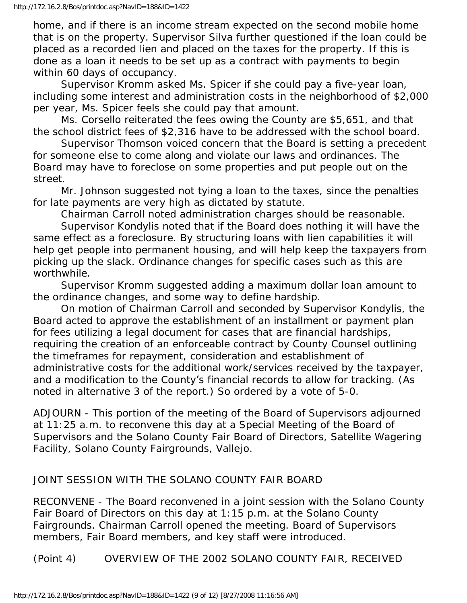home, and if there is an income stream expected on the second mobile home that is on the property. Supervisor Silva further questioned if the loan could be placed as a recorded lien and placed on the taxes for the property. If this is done as a loan it needs to be set up as a contract with payments to begin within 60 days of occupancy.

 Supervisor Kromm asked Ms. Spicer if she could pay a five-year loan, including some interest and administration costs in the neighborhood of \$2,000 per year, Ms. Spicer feels she could pay that amount.

 Ms. Corsello reiterated the fees owing the County are \$5,651, and that the school district fees of \$2,316 have to be addressed with the school board.

 Supervisor Thomson voiced concern that the Board is setting a precedent for someone else to come along and violate our laws and ordinances. The Board may have to foreclose on some properties and put people out on the street.

 Mr. Johnson suggested not tying a loan to the taxes, since the penalties for late payments are very high as dictated by statute.

Chairman Carroll noted administration charges should be reasonable.

 Supervisor Kondylis noted that if the Board does nothing it will have the same effect as a foreclosure. By structuring loans with lien capabilities it will help get people into permanent housing, and will help keep the taxpayers from picking up the slack. Ordinance changes for specific cases such as this are worthwhile.

 Supervisor Kromm suggested adding a maximum dollar loan amount to the ordinance changes, and some way to define hardship.

 On motion of Chairman Carroll and seconded by Supervisor Kondylis, the Board acted to approve the establishment of an installment or payment plan for fees utilizing a legal document for cases that are financial hardships, requiring the creation of an enforceable contract by County Counsel outlining the timeframes for repayment, consideration and establishment of administrative costs for the additional work/services received by the taxpayer, and a modification to the County's financial records to allow for tracking. (As noted in alternative 3 of the report.) So ordered by a vote of 5-0.

ADJOURN - This portion of the meeting of the Board of Supervisors adjourned at 11:25 a.m. to reconvene this day at a Special Meeting of the Board of Supervisors and the Solano County Fair Board of Directors, Satellite Wagering Facility, Solano County Fairgrounds, Vallejo.

# JOINT SESSION WITH THE SOLANO COUNTY FAIR BOARD

RECONVENE - The Board reconvened in a joint session with the Solano County Fair Board of Directors on this day at 1:15 p.m. at the Solano County Fairgrounds. Chairman Carroll opened the meeting. Board of Supervisors members, Fair Board members, and key staff were introduced.

(Point 4) OVERVIEW OF THE 2002 SOLANO COUNTY FAIR, RECEIVED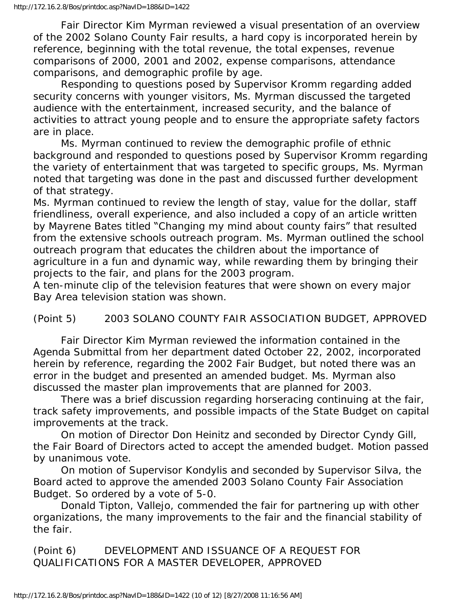Fair Director Kim Myrman reviewed a visual presentation of an overview of the 2002 Solano County Fair results, a hard copy is incorporated herein by reference, beginning with the total revenue, the total expenses, revenue comparisons of 2000, 2001 and 2002, expense comparisons, attendance comparisons, and demographic profile by age.

 Responding to questions posed by Supervisor Kromm regarding added security concerns with younger visitors, Ms. Myrman discussed the targeted audience with the entertainment, increased security, and the balance of activities to attract young people and to ensure the appropriate safety factors are in place.

 Ms. Myrman continued to review the demographic profile of ethnic background and responded to questions posed by Supervisor Kromm regarding the variety of entertainment that was targeted to specific groups, Ms. Myrman noted that targeting was done in the past and discussed further development of that strategy.

Ms. Myrman continued to review the length of stay, value for the dollar, staff friendliness, overall experience, and also included a copy of an article written by Mayrene Bates titled "Changing my mind about county fairs" that resulted from the extensive schools outreach program. Ms. Myrman outlined the school outreach program that educates the children about the importance of agriculture in a fun and dynamic way, while rewarding them by bringing their projects to the fair, and plans for the 2003 program.

A ten-minute clip of the television features that were shown on every major Bay Area television station was shown.

(Point 5) 2003 SOLANO COUNTY FAIR ASSOCIATION BUDGET, APPROVED

 Fair Director Kim Myrman reviewed the information contained in the Agenda Submittal from her department dated October 22, 2002, incorporated herein by reference, regarding the 2002 Fair Budget, but noted there was an error in the budget and presented an amended budget. Ms. Myrman also discussed the master plan improvements that are planned for 2003.

 There was a brief discussion regarding horseracing continuing at the fair, track safety improvements, and possible impacts of the State Budget on capital improvements at the track.

 On motion of Director Don Heinitz and seconded by Director Cyndy Gill, the Fair Board of Directors acted to accept the amended budget. Motion passed by unanimous vote.

 On motion of Supervisor Kondylis and seconded by Supervisor Silva, the Board acted to approve the amended 2003 Solano County Fair Association Budget. So ordered by a vote of 5-0.

 Donald Tipton, Vallejo, commended the fair for partnering up with other organizations, the many improvements to the fair and the financial stability of the fair.

(Point 6) DEVELOPMENT AND ISSUANCE OF A REQUEST FOR QUALIFICATIONS FOR A MASTER DEVELOPER, APPROVED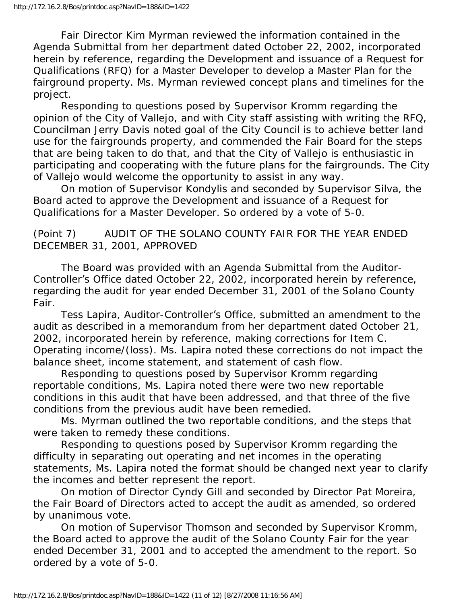Fair Director Kim Myrman reviewed the information contained in the Agenda Submittal from her department dated October 22, 2002, incorporated herein by reference, regarding the Development and issuance of a Request for Qualifications (RFQ) for a Master Developer to develop a Master Plan for the fairground property. Ms. Myrman reviewed concept plans and timelines for the project.

 Responding to questions posed by Supervisor Kromm regarding the opinion of the City of Vallejo, and with City staff assisting with writing the RFQ, Councilman Jerry Davis noted goal of the City Council is to achieve better land use for the fairgrounds property, and commended the Fair Board for the steps that are being taken to do that, and that the City of Vallejo is enthusiastic in participating and cooperating with the future plans for the fairgrounds. The City of Vallejo would welcome the opportunity to assist in any way.

 On motion of Supervisor Kondylis and seconded by Supervisor Silva, the Board acted to approve the Development and issuance of a Request for Qualifications for a Master Developer. So ordered by a vote of 5-0.

## (Point 7) AUDIT OF THE SOLANO COUNTY FAIR FOR THE YEAR ENDED DECEMBER 31, 2001, APPROVED

 The Board was provided with an Agenda Submittal from the Auditor-Controller's Office dated October 22, 2002, incorporated herein by reference, regarding the audit for year ended December 31, 2001 of the Solano County Fair.

 Tess Lapira, Auditor-Controller's Office, submitted an amendment to the audit as described in a memorandum from her department dated October 21, 2002, incorporated herein by reference, making corrections for Item C. Operating income/(loss). Ms. Lapira noted these corrections do not impact the balance sheet, income statement, and statement of cash flow.

 Responding to questions posed by Supervisor Kromm regarding reportable conditions, Ms. Lapira noted there were two new reportable conditions in this audit that have been addressed, and that three of the five conditions from the previous audit have been remedied.

 Ms. Myrman outlined the two reportable conditions, and the steps that were taken to remedy these conditions.

 Responding to questions posed by Supervisor Kromm regarding the difficulty in separating out operating and net incomes in the operating statements, Ms. Lapira noted the format should be changed next year to clarify the incomes and better represent the report.

 On motion of Director Cyndy Gill and seconded by Director Pat Moreira, the Fair Board of Directors acted to accept the audit as amended, so ordered by unanimous vote.

 On motion of Supervisor Thomson and seconded by Supervisor Kromm, the Board acted to approve the audit of the Solano County Fair for the year ended December 31, 2001 and to accepted the amendment to the report. So ordered by a vote of 5-0.